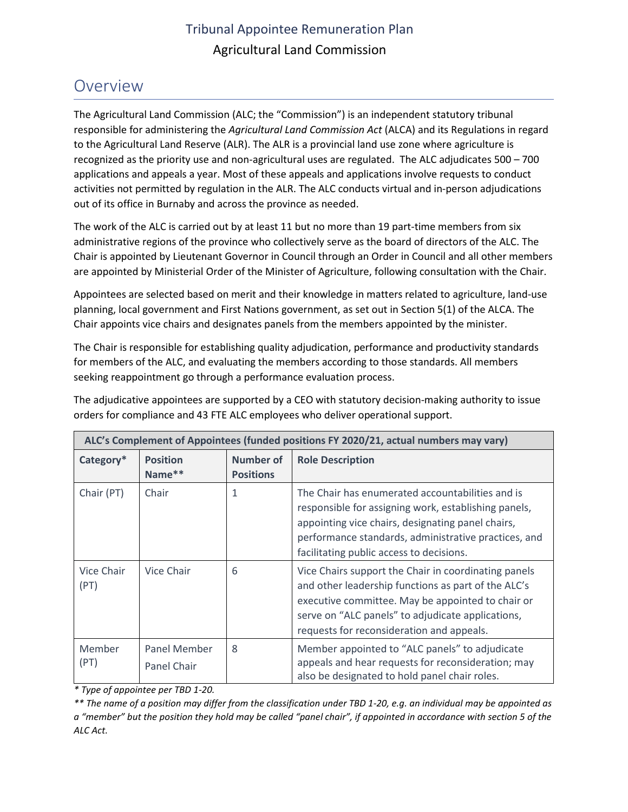## Tribunal Appointee Remuneration Plan Agricultural Land Commission

## Overview

 responsible for administering the *Agricultural Land Commission Act* (ALCA) and its Regulations in regard The Agricultural Land Commission (ALC; the "Commission") is an independent statutory tribunal to the Agricultural Land Reserve (ALR). The ALR is a provincial land use zone where agriculture is recognized as the priority use and non-agricultural uses are regulated. The ALC adjudicates 500 – 700 applications and appeals a year. Most of these appeals and applications involve requests to conduct activities not permitted by regulation in the ALR. The ALC conducts virtual and in-person adjudications out of its office in Burnaby and across the province as needed.

The work of the ALC is carried out by at least 11 but no more than 19 part-time members from six administrative regions of the province who collectively serve as the board of directors of the ALC. The Chair is appointed by Lieutenant Governor in Council through an Order in Council and all other members are appointed by Ministerial Order of the Minister of Agriculture, following consultation with the Chair.

Appointees are selected based on merit and their knowledge in matters related to agriculture, land-use planning, local government and First Nations government, as set out in Section 5(1) of the ALCA. The Chair appoints vice chairs and designates panels from the members appointed by the minister.

The Chair is responsible for establishing quality adjudication, performance and productivity standards for members of the ALC, and evaluating the members according to those standards. All members seeking reappointment go through a performance evaluation process.

The adjudicative appointees are supported by a CEO with statutory decision-making authority to issue orders for compliance and 43 FTE ALC employees who deliver operational support.

| ALC's Complement of Appointees (funded positions FY 2020/21, actual numbers may vary) |                             |                               |                                                                                                                                                                                                                                                                    |  |  |
|---------------------------------------------------------------------------------------|-----------------------------|-------------------------------|--------------------------------------------------------------------------------------------------------------------------------------------------------------------------------------------------------------------------------------------------------------------|--|--|
| Category*                                                                             | <b>Position</b><br>Name**   | Number of<br><b>Positions</b> | <b>Role Description</b>                                                                                                                                                                                                                                            |  |  |
| Chair (PT)                                                                            | Chair                       | 1                             | The Chair has enumerated accountabilities and is<br>responsible for assigning work, establishing panels,<br>appointing vice chairs, designating panel chairs,<br>performance standards, administrative practices, and<br>facilitating public access to decisions.  |  |  |
| Vice Chair<br>(PT)                                                                    | Vice Chair                  | 6                             | Vice Chairs support the Chair in coordinating panels<br>and other leadership functions as part of the ALC's<br>executive committee. May be appointed to chair or<br>serve on "ALC panels" to adjudicate applications,<br>requests for reconsideration and appeals. |  |  |
| Member<br>(PT)                                                                        | Panel Member<br>Panel Chair | 8                             | Member appointed to "ALC panels" to adjudicate<br>appeals and hear requests for reconsideration; may<br>also be designated to hold panel chair roles.                                                                                                              |  |  |

*\* Type of appointee per TBD 1-20.* 

*\*\* The name of a position may differ from the classification under TBD 1-20, e.g. an individual may be appointed as a "member" but the position they hold may be called "panel chair", if appointed in accordance with section 5 of the ALC Act.*